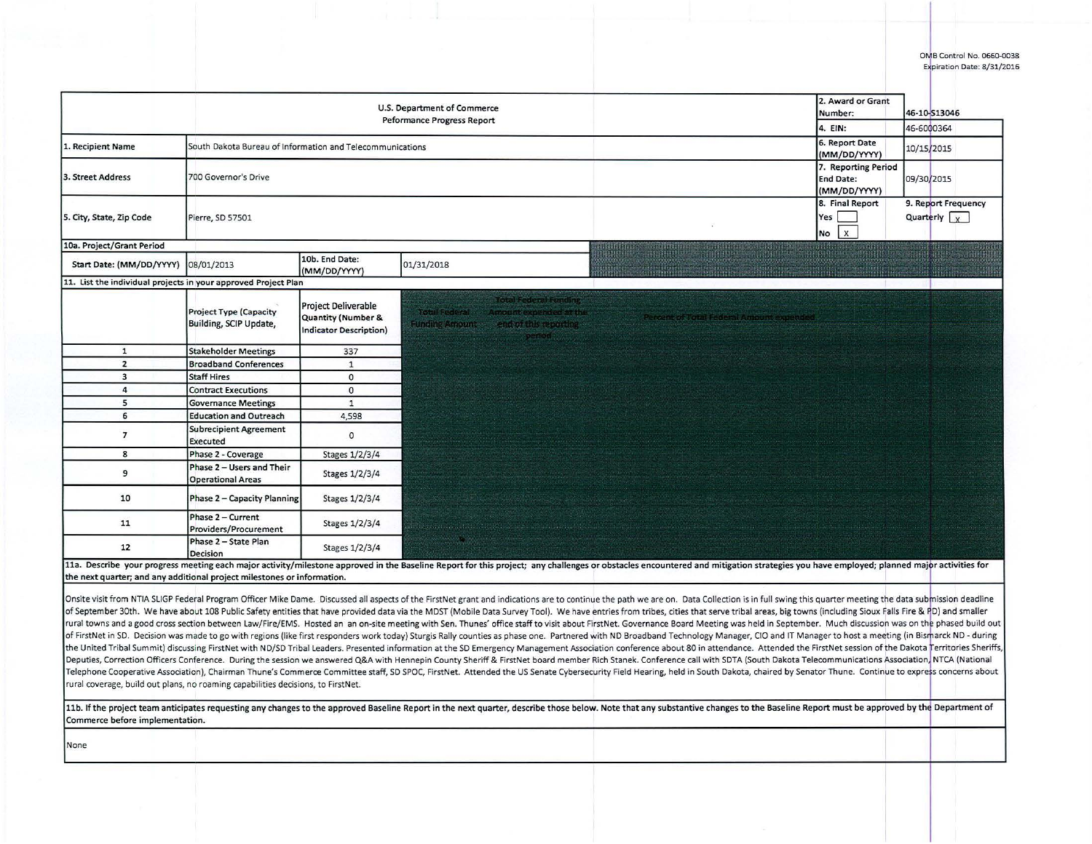|                                                                                  |                                                           | U.S. Department of Commerce                                                       |                                                                                                                                          |                                                                                                                                                                                                                                                                                                                                                                                                                                                                                                                                                                                                                                                                                                                                                                                                                                                                                                                                                                                                                                                                                                                                                                                                                                                                                                                                                                                                                                                                                                                                                                                                                                            | 2. Award or Grant                                       |                                    |
|----------------------------------------------------------------------------------|-----------------------------------------------------------|-----------------------------------------------------------------------------------|------------------------------------------------------------------------------------------------------------------------------------------|--------------------------------------------------------------------------------------------------------------------------------------------------------------------------------------------------------------------------------------------------------------------------------------------------------------------------------------------------------------------------------------------------------------------------------------------------------------------------------------------------------------------------------------------------------------------------------------------------------------------------------------------------------------------------------------------------------------------------------------------------------------------------------------------------------------------------------------------------------------------------------------------------------------------------------------------------------------------------------------------------------------------------------------------------------------------------------------------------------------------------------------------------------------------------------------------------------------------------------------------------------------------------------------------------------------------------------------------------------------------------------------------------------------------------------------------------------------------------------------------------------------------------------------------------------------------------------------------------------------------------------------------|---------------------------------------------------------|------------------------------------|
|                                                                                  |                                                           |                                                                                   | <b>Peformance Progress Report</b>                                                                                                        |                                                                                                                                                                                                                                                                                                                                                                                                                                                                                                                                                                                                                                                                                                                                                                                                                                                                                                                                                                                                                                                                                                                                                                                                                                                                                                                                                                                                                                                                                                                                                                                                                                            | Number:<br>4. EIN:                                      | 46-10-S13046<br>46-6000364         |
|                                                                                  |                                                           |                                                                                   |                                                                                                                                          |                                                                                                                                                                                                                                                                                                                                                                                                                                                                                                                                                                                                                                                                                                                                                                                                                                                                                                                                                                                                                                                                                                                                                                                                                                                                                                                                                                                                                                                                                                                                                                                                                                            |                                                         |                                    |
| 1. Recipient Name                                                                | South Dakota Bureau of Information and Telecommunications |                                                                                   |                                                                                                                                          |                                                                                                                                                                                                                                                                                                                                                                                                                                                                                                                                                                                                                                                                                                                                                                                                                                                                                                                                                                                                                                                                                                                                                                                                                                                                                                                                                                                                                                                                                                                                                                                                                                            | 6. Report Date<br>(MM/DD/YYYY)                          | 10/15/2015                         |
| 3. Street Address                                                                | 700 Governor's Drive                                      |                                                                                   |                                                                                                                                          |                                                                                                                                                                                                                                                                                                                                                                                                                                                                                                                                                                                                                                                                                                                                                                                                                                                                                                                                                                                                                                                                                                                                                                                                                                                                                                                                                                                                                                                                                                                                                                                                                                            | 7. Reporting Period<br><b>End Date:</b><br>(MM/DD/YYYY) | 09/30/2015                         |
| 5. City, State, Zip Code                                                         | Pierre, SD 57501                                          |                                                                                   |                                                                                                                                          |                                                                                                                                                                                                                                                                                                                                                                                                                                                                                                                                                                                                                                                                                                                                                                                                                                                                                                                                                                                                                                                                                                                                                                                                                                                                                                                                                                                                                                                                                                                                                                                                                                            | 8. Final Report<br>Yes<br>$\mathsf{X}$<br><b>No</b>     | 9. Report Frequency<br>Quarterly x |
| 10a. Project/Grant Period                                                        |                                                           |                                                                                   |                                                                                                                                          |                                                                                                                                                                                                                                                                                                                                                                                                                                                                                                                                                                                                                                                                                                                                                                                                                                                                                                                                                                                                                                                                                                                                                                                                                                                                                                                                                                                                                                                                                                                                                                                                                                            |                                                         |                                    |
| Start Date: (MM/DD/YYYY)                                                         | 08/01/2013                                                | 10b. End Date:<br>(MM/DD/YYYY)                                                    | 01/31/2018                                                                                                                               |                                                                                                                                                                                                                                                                                                                                                                                                                                                                                                                                                                                                                                                                                                                                                                                                                                                                                                                                                                                                                                                                                                                                                                                                                                                                                                                                                                                                                                                                                                                                                                                                                                            |                                                         |                                    |
| 11. List the individual projects in your approved Project Plan                   |                                                           |                                                                                   |                                                                                                                                          |                                                                                                                                                                                                                                                                                                                                                                                                                                                                                                                                                                                                                                                                                                                                                                                                                                                                                                                                                                                                                                                                                                                                                                                                                                                                                                                                                                                                                                                                                                                                                                                                                                            |                                                         |                                    |
|                                                                                  | <b>Project Type (Capacity</b><br>Building, SCIP Update,   | <b>Project Deliverable</b><br>Quantity (Number &<br><b>Indicator Description)</b> | <b>Total Federal Functing</b><br><b>Total Pederal</b><br><b>Amount experied at the</b><br><b>Funding Amount</b><br>end of this reporting | reent of Total Federal Amount expended                                                                                                                                                                                                                                                                                                                                                                                                                                                                                                                                                                                                                                                                                                                                                                                                                                                                                                                                                                                                                                                                                                                                                                                                                                                                                                                                                                                                                                                                                                                                                                                                     |                                                         |                                    |
| $\mathbf{1}$                                                                     | <b>Stakeholder Meetings</b>                               | 337                                                                               |                                                                                                                                          |                                                                                                                                                                                                                                                                                                                                                                                                                                                                                                                                                                                                                                                                                                                                                                                                                                                                                                                                                                                                                                                                                                                                                                                                                                                                                                                                                                                                                                                                                                                                                                                                                                            |                                                         |                                    |
| $\overline{2}$                                                                   | <b>Broadband Conferences</b>                              | $\mathbf{1}$                                                                      |                                                                                                                                          |                                                                                                                                                                                                                                                                                                                                                                                                                                                                                                                                                                                                                                                                                                                                                                                                                                                                                                                                                                                                                                                                                                                                                                                                                                                                                                                                                                                                                                                                                                                                                                                                                                            |                                                         |                                    |
| 3                                                                                | <b>Staff Hires</b>                                        | $\circ$                                                                           |                                                                                                                                          |                                                                                                                                                                                                                                                                                                                                                                                                                                                                                                                                                                                                                                                                                                                                                                                                                                                                                                                                                                                                                                                                                                                                                                                                                                                                                                                                                                                                                                                                                                                                                                                                                                            |                                                         |                                    |
| 4                                                                                | <b>Contract Executions</b>                                | $\circ$                                                                           |                                                                                                                                          |                                                                                                                                                                                                                                                                                                                                                                                                                                                                                                                                                                                                                                                                                                                                                                                                                                                                                                                                                                                                                                                                                                                                                                                                                                                                                                                                                                                                                                                                                                                                                                                                                                            |                                                         |                                    |
| 5                                                                                | <b>Governance Meetings</b>                                | $\mathbf{1}$                                                                      |                                                                                                                                          |                                                                                                                                                                                                                                                                                                                                                                                                                                                                                                                                                                                                                                                                                                                                                                                                                                                                                                                                                                                                                                                                                                                                                                                                                                                                                                                                                                                                                                                                                                                                                                                                                                            |                                                         |                                    |
| 6                                                                                | <b>Education and Outreach</b>                             | 4,598                                                                             |                                                                                                                                          |                                                                                                                                                                                                                                                                                                                                                                                                                                                                                                                                                                                                                                                                                                                                                                                                                                                                                                                                                                                                                                                                                                                                                                                                                                                                                                                                                                                                                                                                                                                                                                                                                                            |                                                         |                                    |
| $\overline{7}$                                                                   | <b>Subrecipient Agreement</b><br>Executed                 | $\circ$                                                                           |                                                                                                                                          |                                                                                                                                                                                                                                                                                                                                                                                                                                                                                                                                                                                                                                                                                                                                                                                                                                                                                                                                                                                                                                                                                                                                                                                                                                                                                                                                                                                                                                                                                                                                                                                                                                            |                                                         |                                    |
| 8                                                                                | Phase 2 - Coverage                                        | Stages 1/2/3/4                                                                    |                                                                                                                                          |                                                                                                                                                                                                                                                                                                                                                                                                                                                                                                                                                                                                                                                                                                                                                                                                                                                                                                                                                                                                                                                                                                                                                                                                                                                                                                                                                                                                                                                                                                                                                                                                                                            |                                                         |                                    |
| 9                                                                                | Phase 2 - Users and Their<br><b>Operational Areas</b>     | Stages 1/2/3/4                                                                    |                                                                                                                                          |                                                                                                                                                                                                                                                                                                                                                                                                                                                                                                                                                                                                                                                                                                                                                                                                                                                                                                                                                                                                                                                                                                                                                                                                                                                                                                                                                                                                                                                                                                                                                                                                                                            |                                                         |                                    |
| 10                                                                               | Phase 2 - Capacity Planning                               | Stages 1/2/3/4                                                                    |                                                                                                                                          |                                                                                                                                                                                                                                                                                                                                                                                                                                                                                                                                                                                                                                                                                                                                                                                                                                                                                                                                                                                                                                                                                                                                                                                                                                                                                                                                                                                                                                                                                                                                                                                                                                            |                                                         |                                    |
| 11                                                                               | Phase 2 - Current<br>Providers/Procurement                | Stages 1/2/3/4                                                                    |                                                                                                                                          |                                                                                                                                                                                                                                                                                                                                                                                                                                                                                                                                                                                                                                                                                                                                                                                                                                                                                                                                                                                                                                                                                                                                                                                                                                                                                                                                                                                                                                                                                                                                                                                                                                            |                                                         |                                    |
| 12                                                                               | Phase 2 - State Plan<br>Decision                          | Stages 1/2/3/4                                                                    |                                                                                                                                          |                                                                                                                                                                                                                                                                                                                                                                                                                                                                                                                                                                                                                                                                                                                                                                                                                                                                                                                                                                                                                                                                                                                                                                                                                                                                                                                                                                                                                                                                                                                                                                                                                                            |                                                         |                                    |
|                                                                                  |                                                           |                                                                                   |                                                                                                                                          | 11a. Describe your progress meeting each major activity/milestone approved in the Baseline Report for this project; any challenges or obstacles encountered and mitigation strategies you have employed; planned major activit                                                                                                                                                                                                                                                                                                                                                                                                                                                                                                                                                                                                                                                                                                                                                                                                                                                                                                                                                                                                                                                                                                                                                                                                                                                                                                                                                                                                             |                                                         |                                    |
| the next quarter; and any additional project milestones or information.          |                                                           |                                                                                   |                                                                                                                                          |                                                                                                                                                                                                                                                                                                                                                                                                                                                                                                                                                                                                                                                                                                                                                                                                                                                                                                                                                                                                                                                                                                                                                                                                                                                                                                                                                                                                                                                                                                                                                                                                                                            |                                                         |                                    |
|                                                                                  |                                                           |                                                                                   |                                                                                                                                          | Onsite visit from NTIA SLIGP Federal Program Officer Mike Dame. Discussed all aspects of the FirstNet grant and indications are to continue the path we are on. Data Collection is in full swing this quarter meeting the data<br>of September 30th. We have about 108 Public Safety entities that have provided data via the MDST (Mobile Data Survey Tool). We have entries from tribes, cities that serve tribal areas, big towns (including Sioux Falls Fire<br>rural towns and a good cross section between Law/Fire/EMS. Hosted an an on-site meeting with Sen. Thunes' office staff to visit about FirstNet. Governance Board Meeting was held in September. Much discussion was on the pha<br>of FirstNet in SD. Decision was made to go with regions (like first responders work today) Sturgis Rally counties as phase one. Partnered with ND Broadband Technology Manager, CIO and IT Manager to host a meeting (in Bisma<br>the United Tribal Summit) discussing FirstNet with ND/SD Tribal Leaders. Presented information at the SD Emergency Management Association conference about 80 in attendance. Attended the FirstNet session of the Dakota Terri<br>Deputies, Correction Officers Conference. During the session we answered Q&A with Hennepin County Sheriff & FirstNet board member Rich Stanek. Conference call with SDTA (South Dakota Telecommunications Association NTCA (Na<br>Telephone Cooperative Association), Chairman Thune's Commerce Committee staff, SD SPOC, FirstNet. Attended the US Senate Cybersecurity Field Hearing, held in South Dakota, chaired by Senator Thune. Continue to express conc |                                                         |                                    |
| rural coverage, build out plans, no roaming capabilities decisions, to FirstNet. |                                                           |                                                                                   |                                                                                                                                          |                                                                                                                                                                                                                                                                                                                                                                                                                                                                                                                                                                                                                                                                                                                                                                                                                                                                                                                                                                                                                                                                                                                                                                                                                                                                                                                                                                                                                                                                                                                                                                                                                                            |                                                         |                                    |

11b. If the project team anticipates requesting any changes to the approved Baseline Report in the next quarter, describe those below. Note that any substantive changes to the Baseline Report must be approved by the Depart Commerce before implementation.

None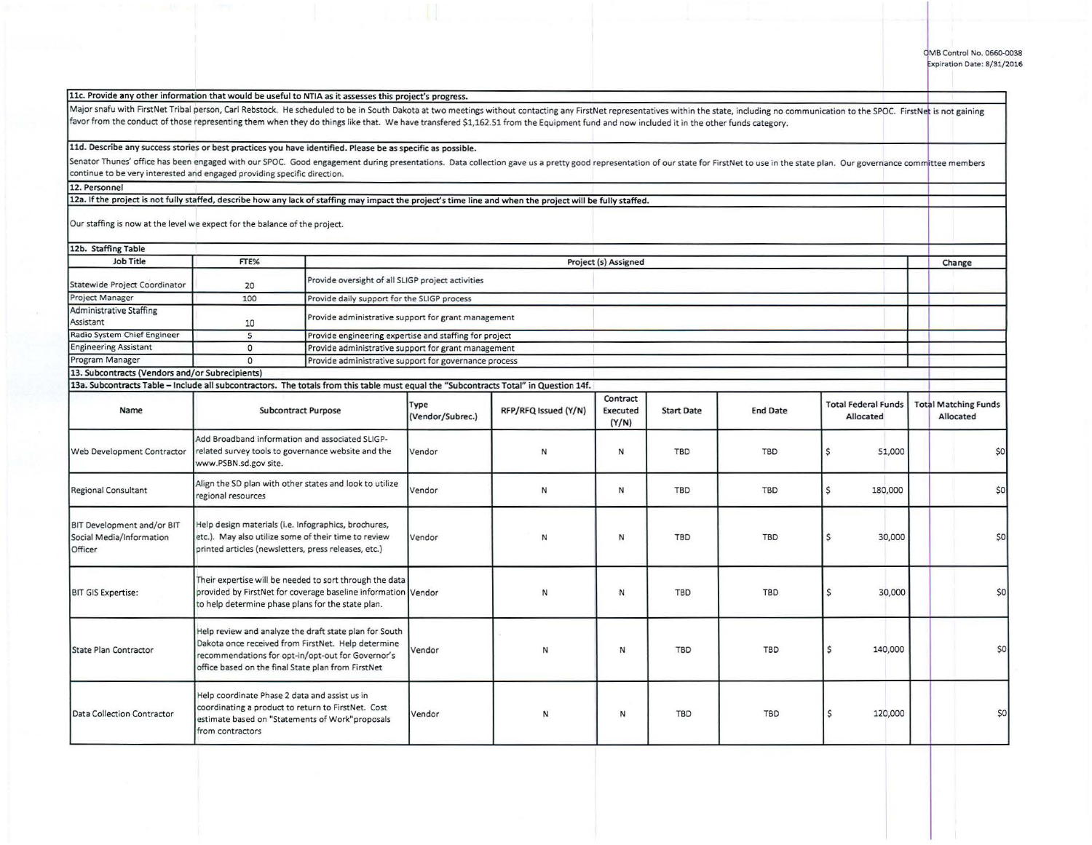| 11d. Describe any success stories or best practices you have identified. Please be as specific as possible.                                                                                                                    |                                                                                                                                                                      |                                                                                                                                                                                                                         |                                                       |                      |                               |                   |                 |                                         |  |                                          |  |
|--------------------------------------------------------------------------------------------------------------------------------------------------------------------------------------------------------------------------------|----------------------------------------------------------------------------------------------------------------------------------------------------------------------|-------------------------------------------------------------------------------------------------------------------------------------------------------------------------------------------------------------------------|-------------------------------------------------------|----------------------|-------------------------------|-------------------|-----------------|-----------------------------------------|--|------------------------------------------|--|
| Senator Thunes' office has been engaged with our SPOC. Good engagement during presentations. Data collection gave us a pretty good representation of our state for FirstNet to use in the state plan. Our governance committee |                                                                                                                                                                      |                                                                                                                                                                                                                         |                                                       |                      |                               |                   |                 |                                         |  |                                          |  |
| continue to be very interested and engaged providing specific direction.                                                                                                                                                       |                                                                                                                                                                      |                                                                                                                                                                                                                         |                                                       |                      |                               |                   |                 |                                         |  |                                          |  |
| 12. Personnel                                                                                                                                                                                                                  |                                                                                                                                                                      |                                                                                                                                                                                                                         |                                                       |                      |                               |                   |                 |                                         |  |                                          |  |
| 12a. If the project is not fully staffed, describe how any lack of staffing may impact the project's time line and when the project will be fully staffed.                                                                     |                                                                                                                                                                      |                                                                                                                                                                                                                         |                                                       |                      |                               |                   |                 |                                         |  |                                          |  |
| Our staffing is now at the level we expect for the balance of the project.                                                                                                                                                     |                                                                                                                                                                      |                                                                                                                                                                                                                         |                                                       |                      |                               |                   |                 |                                         |  |                                          |  |
| 12b. Staffing Table                                                                                                                                                                                                            |                                                                                                                                                                      |                                                                                                                                                                                                                         |                                                       |                      |                               |                   |                 |                                         |  |                                          |  |
| Job Title                                                                                                                                                                                                                      | FTE%                                                                                                                                                                 |                                                                                                                                                                                                                         |                                                       |                      | Project (s) Assigned          |                   |                 |                                         |  | Change                                   |  |
| Statewide Project Coordinator                                                                                                                                                                                                  | 20                                                                                                                                                                   | Provide oversight of all SLIGP project activities                                                                                                                                                                       |                                                       |                      |                               |                   |                 |                                         |  |                                          |  |
| Project Manager                                                                                                                                                                                                                | 100                                                                                                                                                                  | Provide daily support for the SLIGP process                                                                                                                                                                             |                                                       |                      |                               |                   |                 |                                         |  |                                          |  |
| Administrative Staffing<br>Assistant                                                                                                                                                                                           | 10                                                                                                                                                                   |                                                                                                                                                                                                                         | Provide administrative support for grant management   |                      |                               |                   |                 |                                         |  |                                          |  |
| Radio System Chief Engineer                                                                                                                                                                                                    | $\overline{5}$                                                                                                                                                       | Provide engineering expertise and staffing for project                                                                                                                                                                  |                                                       |                      |                               |                   |                 |                                         |  |                                          |  |
| <b>Engineering Assistant</b>                                                                                                                                                                                                   | $\circ$                                                                                                                                                              |                                                                                                                                                                                                                         | Provide administrative support for grant management   |                      |                               |                   |                 |                                         |  |                                          |  |
| Program Manager                                                                                                                                                                                                                | $\Omega$                                                                                                                                                             |                                                                                                                                                                                                                         | Provide administrative support for governance process |                      |                               |                   |                 |                                         |  |                                          |  |
| 13. Subcontracts (Vendors and/or Subrecipients)                                                                                                                                                                                |                                                                                                                                                                      |                                                                                                                                                                                                                         |                                                       |                      |                               |                   |                 |                                         |  |                                          |  |
| 13a. Subcontracts Table - Include all subcontractors. The totals from this table must equal the "Subcontracts Total" in Question 14f.                                                                                          |                                                                                                                                                                      |                                                                                                                                                                                                                         |                                                       |                      |                               |                   |                 |                                         |  |                                          |  |
| Name                                                                                                                                                                                                                           |                                                                                                                                                                      | <b>Subcontract Purpose</b>                                                                                                                                                                                              | Type<br>(Vendor/Subrec.)                              | RFP/RFQ Issued (Y/N) | Contract<br>Executed<br>(Y/N) | <b>Start Date</b> | <b>End Date</b> | <b>Total Federal Funds</b><br>Allocated |  | <b>Total Matching Funds</b><br>Allocated |  |
| Web Development Contractor                                                                                                                                                                                                     | Add Broadband information and associated SLIGP-<br>related survey tools to governance website and the<br>www.PSBN.sd.gov site.                                       |                                                                                                                                                                                                                         | Vendor                                                | N                    | N                             | <b>TBD</b>        | <b>TBD</b>      | \$<br>51,000                            |  | \$0                                      |  |
| <b>Regional Consultant</b>                                                                                                                                                                                                     | Align the SD plan with other states and look to utilize<br>regional resources                                                                                        |                                                                                                                                                                                                                         | Vendor                                                | N                    | N                             | <b>TBD</b>        | TBD             | $\mathsf{S}$<br>180,000                 |  | \$0                                      |  |
| BIT Development and/or BIT<br>Social Media/Information<br>Officer                                                                                                                                                              | Help design materials (i.e. Infographics, brochures,<br>etc.). May also utilize some of their time to review<br>printed articles (newsletters, press releases, etc.) |                                                                                                                                                                                                                         | Vendor                                                | N                    | N                             | <b>TBD</b>        | <b>TBD</b>      | Ś<br>30,000                             |  | \$0                                      |  |
| <b>BIT GIS Expertise:</b>                                                                                                                                                                                                      | to help determine phase plans for the state plan.                                                                                                                    | Their expertise will be needed to sort through the data<br>provided by FirstNet for coverage baseline information Vendor                                                                                                |                                                       | $\mathsf{N}$         | ${\sf N}$                     | <b>TBD</b>        | TBD             | Ś<br>30,000                             |  | \$0                                      |  |
| State Plan Contractor                                                                                                                                                                                                          |                                                                                                                                                                      | Help review and analyze the draft state plan for South<br>Dakota once received from FirstNet. Help determine<br>recommendations for opt-in/opt-out for Governor's<br>office based on the final State plan from FirstNet | Vendor                                                | N                    | N                             | <b>TBD</b>        | <b>TBD</b>      | \$<br>140,000                           |  | \$0                                      |  |
| Data Collection Contractor                                                                                                                                                                                                     | Help coordinate Phase 2 data and assist us in<br>from contractors                                                                                                    | coordinating a product to return to FirstNet. Cost<br>estimate based on "Statements of Work"proposals                                                                                                                   | Vendor                                                | N                    | N                             | <b>TBD</b>        | <b>TBD</b>      | \$<br>120,000                           |  | \$0                                      |  |

Major snafu with FirstNet Tribal person, Carl Rebstock. He scheduled to be in South Dakota at two meetings without contacting any FirstNet representatives within the state, including no communication to the SPOC. FirstNet

favor from the conduct of those representing them when they do things like that. We have transfered \$1,162.51 from the Equipment fund and now included it in the other funds category.

llc. Provide any other information that would be useful to NTIA as it assesses this project's progress.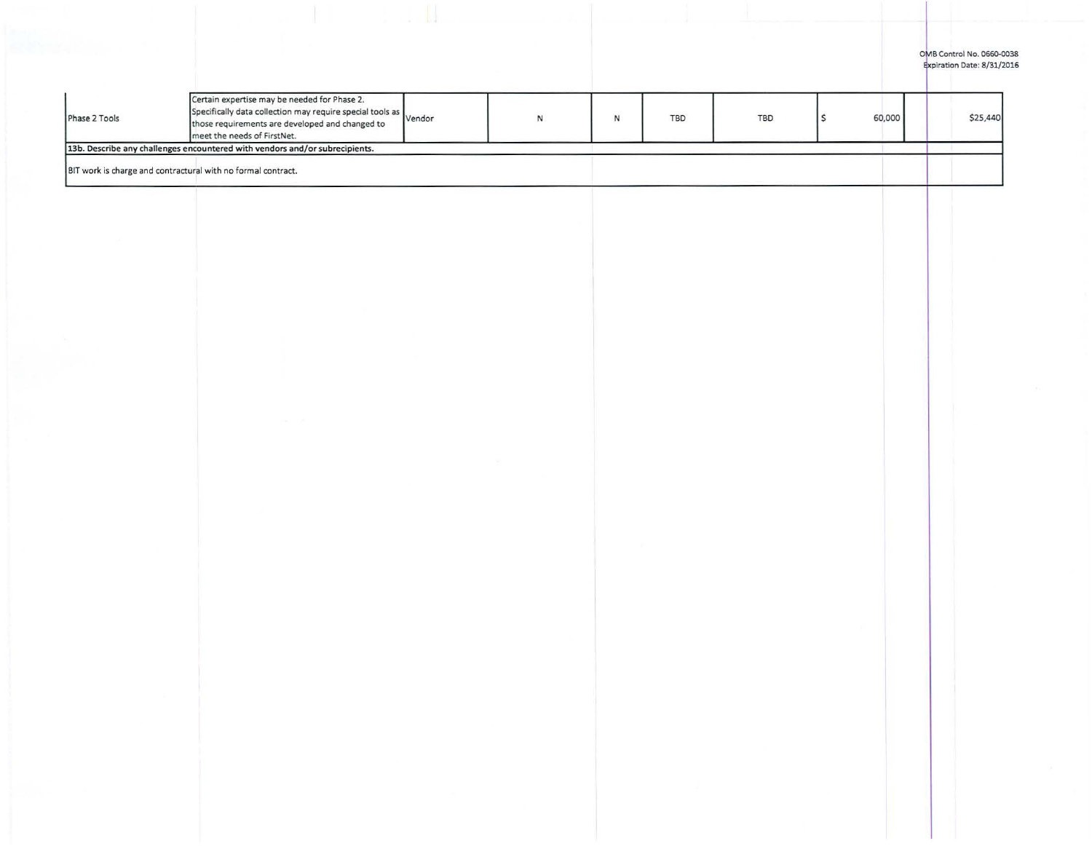## OMB Control No. 0660-0038 piration Date: 8/31/2016

|               | 13b. Describe any challenges encountered with vendors and/or subrecipients.<br>BIT work is charge and contractural with no formal contract.                                                        |  |    |            |     |        |          |
|---------------|----------------------------------------------------------------------------------------------------------------------------------------------------------------------------------------------------|--|----|------------|-----|--------|----------|
| Phase 2 Tools | Certain expertise may be needed for Phase 2.<br>Specifically data collection may require special tools as vendor<br>those requirements are developed and changed to<br>meet the needs of FirstNet. |  | A. | <b>TBD</b> | TBD | 60,000 | \$25,440 |